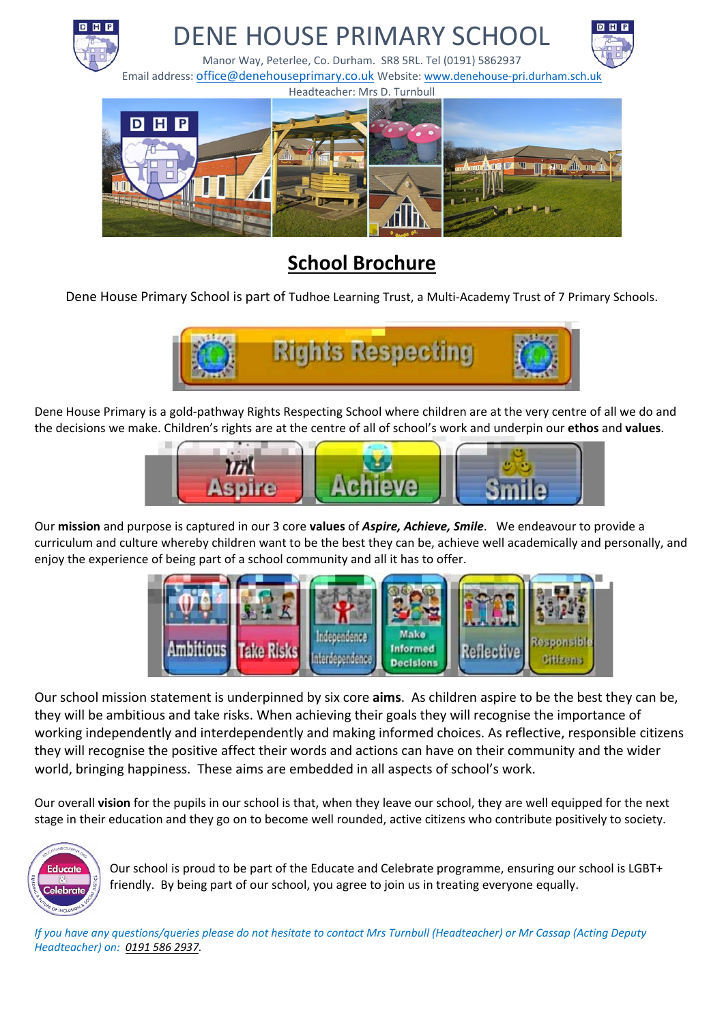

# **School Brochure**

Dene House Primary School is part of Tudhoe Learning Trust, a Multi-Academy Trust of 7 Primary Schools.



Dene House Primary is a gold-pathway Rights Respecting School where children are at the very centre of all we do and the decisions we make. Children's rights are at the centre of all of school's work and underpin our **ethos** and **values**.



Our **mission** and purpose is captured in our 3 core **values** of *Aspire, Achieve, Smile*. We endeavour to provide a curriculum and culture whereby children want to be the best they can be, achieve well academically and personally, and enjoy the experience of being part of a school community and all it has to offer.



Our school mission statement is underpinned by six core **aims**. As children aspire to be the best they can be, they will be ambitious and take risks. When achieving their goals they will recognise the importance of working independently and interdependently and making informed choices. As reflective, responsible citizens they will recognise the positive affect their words and actions can have on their community and the wider world, bringing happiness. These aims are embedded in all aspects of school's work.

Our overall **vision** for the pupils in our school is that, when they leave our school, they are well equipped for the next stage in their education and they go on to become well rounded, active citizens who contribute positively to society.



Our school is proud to be part of the Educate and Celebrate programme, ensuring our school is LGBT+ friendly. By being part of our school, you agree to join us in treating everyone equally.

*If you have any questions/queries please do not hesitate to contact Mrs Turnbull (Headteacher) or Mr Cassap (Acting Deputy Headteacher) on: 0191 586 2937.*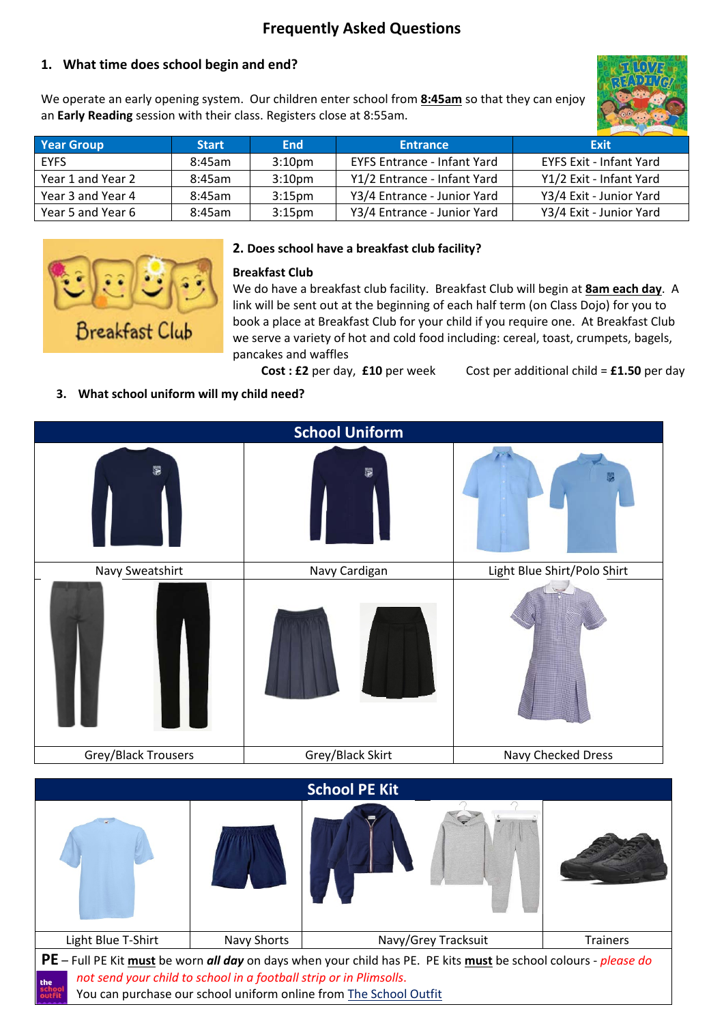# **Frequently Asked Questions**

### **1. What time does school begin and end?**

We operate an early opening system. Our children enter school from **8:45am** so that they can enjoy an **Early Reading** session with their class. Registers close at 8:55am.



| <b>Year Group</b> | <b>Start</b> | <b>End</b>         | <b>Entrance</b>                    | Exit                           |
|-------------------|--------------|--------------------|------------------------------------|--------------------------------|
| <b>EYFS</b>       | 8:45am       | 3:10 <sub>pm</sub> | <b>EYFS Entrance - Infant Yard</b> | <b>EYFS Exit - Infant Yard</b> |
| Year 1 and Year 2 | 8:45am       | 3:10 <sub>pm</sub> | Y1/2 Entrance - Infant Yard        | Y1/2 Exit - Infant Yard        |
| Year 3 and Year 4 | 8:45am       | 3:15 <sub>pm</sub> | Y3/4 Entrance - Junior Yard        | Y3/4 Exit - Junior Yard        |
| Year 5 and Year 6 | 8:45am       | 3:15 <sub>pm</sub> | Y3/4 Entrance - Junior Yard        | Y3/4 Exit - Junior Yard        |



#### **2. Does school have a breakfast club facility?**

#### **Breakfast Club**

We do have a breakfast club facility. Breakfast Club will begin at **8am each day**. A link will be sent out at the beginning of each half term (on Class Dojo) for you to book a place at Breakfast Club for your child if you require one. At Breakfast Club we serve a variety of hot and cold food including: cereal, toast, crumpets, bagels, pancakes and waffles

**Cost : £2** per day, **£10** per week Cost per additional child = **£1.50** per day

#### **3. What school uniform will my child need?**

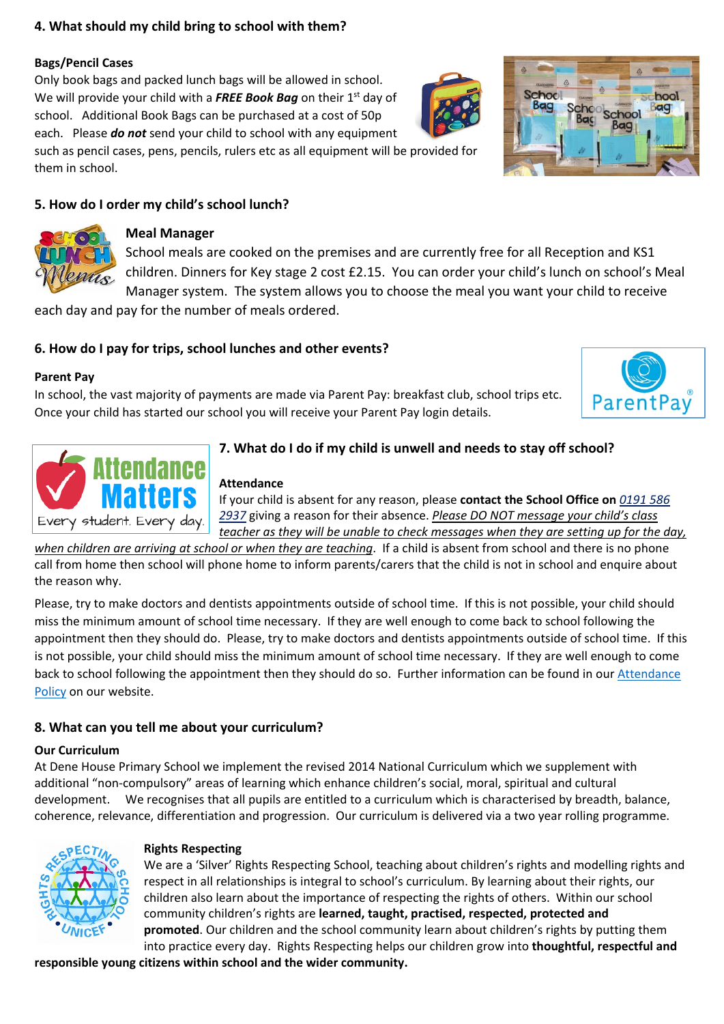#### **4. What should my child bring to school with them?**

#### **Bags/Pencil Cases**

Only book bags and packed lunch bags will be allowed in school. We will provide your child with a **FREE Book Bag** on their 1<sup>st</sup> day of school. Additional Book Bags can be purchased at a cost of 50p each. Please *do not* send your child to school with any equipment such as pencil cases, pens, pencils, rulers etc as all equipment will be provided for

them in school.

# **5. How do I order my child's school lunch?**



### **Meal Manager**

School meals are cooked on the premises and are currently free for all Reception and KS1 children. Dinners for Key stage 2 cost £2.15. You can order your child's lunch on school's Meal Manager system. The system allows you to choose the meal you want your child to receive

each day and pay for the number of meals ordered.

# **6. How do I pay for trips, school lunches and other events?**

#### **Parent Pay**

In school, the vast majority of payments are made via Parent Pay: breakfast club, school trips etc. Once your child has started our school you will receive your Parent Pay login details.





# **7. What do I do if my child is unwell and needs to stay off school?**

#### **Attendance**

If your child is absent for any reason, please **contact the School Office on** *0191 586 2937* giving a reason for their absence. *Please DO NOT message your child's class teacher as they will be unable to check messages when they are setting up for the day,* 

*when children are arriving at school or when they are teaching*. If a child is absent from school and there is no phone call from home then school will phone home to inform parents/carers that the child is not in school and enquire about the reason why.

Please, try to make doctors and dentists appointments outside of school time. If this is not possible, your child should miss the minimum amount of school time necessary. If they are well enough to come back to school following the appointment then they should do. Please, try to make doctors and dentists appointments outside of school time. If this is not possible, your child should miss the minimum amount of school time necessary. If they are well enough to come back to school following the appointment then they should do so. Further information can be found in our [Attendance](https://www.denehouse-pri.durham.sch.uk/key-information/school-policies/)  [Policy](https://www.denehouse-pri.durham.sch.uk/key-information/school-policies/) on our website.

### **8. What can you tell me about your curriculum?**

#### **Our Curriculum**

At Dene House Primary School we implement the revised 2014 National Curriculum which we supplement with additional "non-compulsory" areas of learning which enhance children's social, moral, spiritual and cultural development. We recognises that all pupils are entitled to a curriculum which is characterised by breadth, balance, coherence, relevance, differentiation and progression. Our curriculum is delivered via a two year rolling programme.



#### **Rights Respecting**

We are a 'Silver' Rights Respecting School, teaching about children's rights and modelling rights and respect in all relationships is integral to school's curriculum. By learning about their rights, our children also learn about the importance of respecting the rights of others. Within our school community children's rights are **learned, taught, practised, respected, protected and promoted**. Our children and the school community learn about children's rights by putting them into practice every day. Rights Respecting helps our children grow into **thoughtful, respectful and** 

**responsible young citizens within school and the wider community.** 



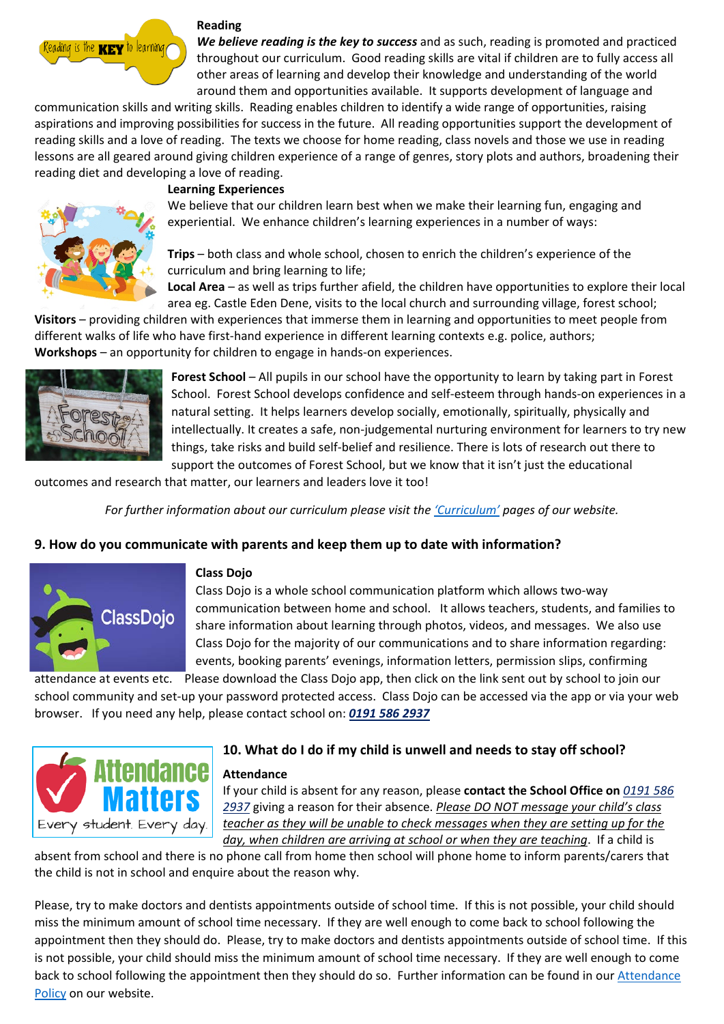

#### **Reading**

*We believe reading is the key to success* and as such, reading is promoted and practiced throughout our curriculum. Good reading skills are vital if children are to fully access all other areas of learning and develop their knowledge and understanding of the world around them and opportunities available. It supports development of language and

communication skills and writing skills. Reading enables children to identify a wide range of opportunities, raising aspirations and improving possibilities for success in the future. All reading opportunities support the development of reading skills and a love of reading. The texts we choose for home reading, class novels and those we use in reading lessons are all geared around giving children experience of a range of genres, story plots and authors, broadening their reading diet and developing a love of reading.



#### **Learning Experiences**

We believe that our children learn best when we make their learning fun, engaging and experiential. We enhance children's learning experiences in a number of ways:

**Trips** – both class and whole school, chosen to enrich the children's experience of the curriculum and bring learning to life;

**Local Area** – as well as trips further afield, the children have opportunities to explore their local area eg. Castle Eden Dene, visits to the local church and surrounding village, forest school;

**Visitors** – providing children with experiences that immerse them in learning and opportunities to meet people from different walks of life who have first-hand experience in different learning contexts e.g. police, authors; **Workshops** – an opportunity for children to engage in hands-on experiences.



**Forest School** – All pupils in our school have the opportunity to learn by taking part in Forest School. Forest School develops confidence and self-esteem through hands-on experiences in a natural setting. It helps learners develop socially, emotionally, spiritually, physically and intellectually. It creates a safe, non-judgemental nurturing environment for learners to try new things, take risks and build self-belief and resilience. There is lots of research out there to support the outcomes of Forest School, but we know that it isn't just the educational

outcomes and research that matter, our learners and leaders love it too!

*For further information about our curriculum please visit the ['Curriculum'](https://www.denehouse-pri.durham.sch.uk/our-curriculum/rights-respecting/) pages of our website.*

#### **9. How do you communicate with parents and keep them up to date with information?**



#### **Class Dojo**

Class Dojo is a whole school communication platform which allows two-way communication between home and school. It allows teachers, students, and families to share information about learning through photos, videos, and messages. We also use Class Dojo for the majority of our communications and to share information regarding: events, booking parents' evenings, information letters, permission slips, confirming

attendance at events etc. Please download the Class Dojo app, then click on the link sent out by school to join our school community and set-up your password protected access. Class Dojo can be accessed via the app or via your web browser. If you need any help, please contact school on: *0191 586 2937*



# **10. What do I do if my child is unwell and needs to stay off school?**

**Attendance** 

If your child is absent for any reason, please **contact the School Office on** *0191 586 2937* giving a reason for their absence. *Please DO NOT message your child's class teacher as they will be unable to check messages when they are setting up for the day, when children are arriving at school or when they are teaching*. If a child is

absent from school and there is no phone call from home then school will phone home to inform parents/carers that the child is not in school and enquire about the reason why.

Please, try to make doctors and dentists appointments outside of school time. If this is not possible, your child should miss the minimum amount of school time necessary. If they are well enough to come back to school following the appointment then they should do. Please, try to make doctors and dentists appointments outside of school time. If this is not possible, your child should miss the minimum amount of school time necessary. If they are well enough to come back to school following the appointment then they should do so. Further information can be found in our Attendance [Policy](https://www.denehouse-pri.durham.sch.uk/key-information/school-policies/) on our website.